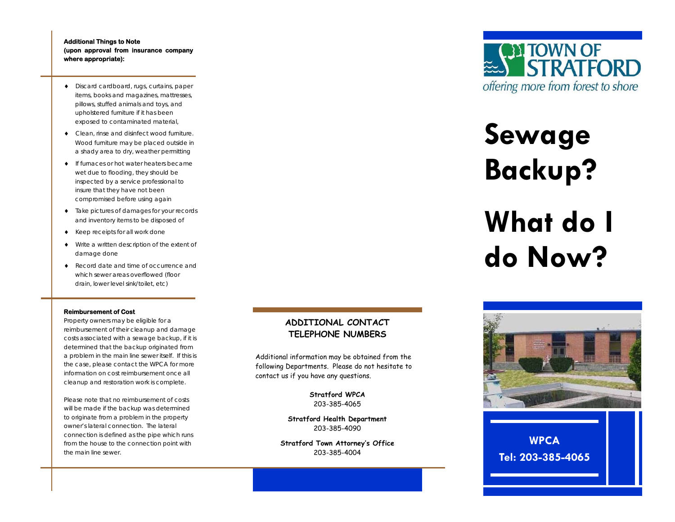## **Additional Things to Note (upon approval from insurance company where appropriate):**

- Discard cardboard, rugs, curtains, paper items, books and magazines, mattresses, pillows, stuffed animals and toys, and upholstered furniture if it has been exposed to contaminated material,
- Clean, rinse and disinfect wood furniture. Wood furniture may be placed outside in a shady area to dry, weather permitting
- $\bullet$  If furnaces or hot water heaters became wet due to flooding, they should be inspected by a service professional to insure that they have not been compromised before using again
- Take pictures of damages for your records and inventory items to be disposed of
- $\blacklozenge$  Keep receipts for all work done
- $\bullet$  Write a written description of the extent of damage done
- Record date and time of occurrence and which sewer areas overflowed (floor drain, lower level sink/toilet, etc)

## **Reimbursement of Cost**

Property owners may be eligible for a reimbursement of their cleanup and damage costs associated with a sewage backup, if it is determined that the backup originated from a problem in the main line sewer itself. If this is the case, please contact the WPCA for more information on cost reimbursement once all cleanup and restoration work is complete.

Please note that no reimbursement of costs will be made if the backup was determined to originate from a problem in the property owner's lateral connection. The lateral connection is defined as the pipe which runs from the house to the connection point with the main line sewer.

## **ADDITIONAL CONTACT TELEPHONE NUMBERS**

Additional information may be obtained from the following Departments. Please do not hesitate to contact us if you have any questions.

> **Stratford WPCA**  203-385-4065

**Stratford Health Department**  203-385-4090

**Stratford Town Attorney's Office**  203-385-4004



# **Sewage Backup? What do I do Now?**